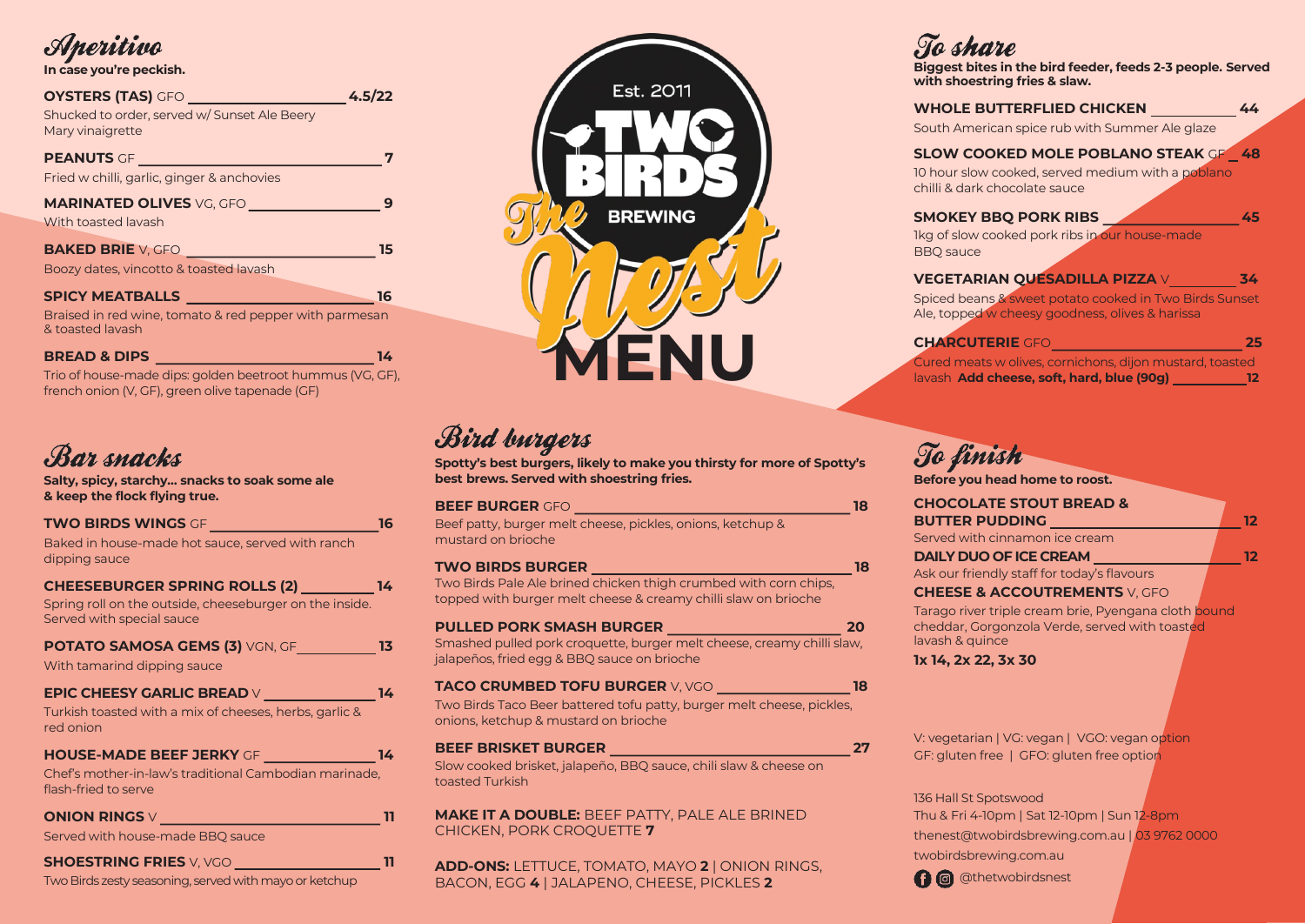### Aperitivo

#### **In case you're peckish.**

| <b>OYSTERS (TAS)</b> GFO<br>Shucked to order, served w/ Sunset Ale Beery<br>Mary vinaigrette                   | 4.5/22 |
|----------------------------------------------------------------------------------------------------------------|--------|
| <b>PEANUTS</b> GF<br>Fried w chilli, garlic, ginger & anchovies                                                |        |
| <b>MARINATED OLIVES</b> VG, GFO<br>With toasted lavash                                                         |        |
| BAKED BRIE V, GFO <b>And Accept and Accept and Accept and Accept</b><br>Boozy dates, vincotto & toasted lavash | 15     |
| <b>SPICY MEATBALLS SPICY MEATBALLS</b>                                                                         | 16     |
| Braised in red wine, tomato & red pepper with parmesan<br>& toasted lavash                                     |        |
| <b>BREAD &amp; DIPS</b>                                                                                        | 14     |

Trio of house-made dips: golden beetroot hummus (VG, GF), french onion (V, GF), green olive tapenade (GF)

### Bar snacks

**Salty, spicy, starchy… snacks to soak some ale & keep the flock flying true.**

| TWO BIRDS WINGS OF <b>with the contract of the contract of the contract of the contract of the contract of the contract of the contract of the contract of the contract of the contract of the contract of the contract of the c</b> | 16 |
|--------------------------------------------------------------------------------------------------------------------------------------------------------------------------------------------------------------------------------------|----|
| Baked in house-made hot sauce, served with ranch<br>dipping sauce                                                                                                                                                                    |    |
| CHEESEBURGER SPRING ROLLS (2) _________ 14<br>Spring roll on the outside, cheeseburger on the inside.<br>Served with special sauce                                                                                                   |    |
| POTATO SAMOSA GEMS (3) VGN, GF____________13                                                                                                                                                                                         |    |
| With tamarind dipping sauce                                                                                                                                                                                                          |    |
| EPIC CHEESY GARLIC BREAD V                                                                                                                                                                                                           | 14 |
| Turkish toasted with a mix of cheeses, herbs, garlic &<br>red onion                                                                                                                                                                  |    |
| HOUSE-MADE BEEF JERKY GF _______________14                                                                                                                                                                                           |    |
| Chef's mother-in-law's traditional Cambodian marinade,<br>flash-fried to serve                                                                                                                                                       |    |
| ONION RINGS V                                                                                                                                                                                                                        |    |
| Served with house-made BBQ sauce                                                                                                                                                                                                     |    |
| <b>SHOESTRING FRIES</b> V, VGO <b><i>_____________</i>_____</b>                                                                                                                                                                      |    |
| Two Birds zesty seasoning, served with mayo or ketchup                                                                                                                                                                               |    |



## Bird burgers

**Spotty's best burgers, likely to make you thirsty for more of Spotty's best brews. Served with shoestring fries.**

| <b>BEEF BURGER GFO</b>                                                          |    |
|---------------------------------------------------------------------------------|----|
| Beef patty, burger melt cheese, pickles, onions, ketchup &                      |    |
| mustard on brioche                                                              |    |
| <b>TWO BIRDS BURGER</b>                                                         | 18 |
| Two Birds Pale Ale brined chicken thigh crumbed with corn chips,                |    |
| topped with burger melt cheese & creamy chilli slaw on brioche                  |    |
| <b>PULLED PORK SMASH BURGER</b><br>a sa kacamatan ing Kabupatèn Kabupatèn Ing   | 20 |
| Smashed pulled pork croquette, burger melt cheese, creamy chilli slaw,          |    |
| jalapeños, fried egg & BBQ sauce on brioche                                     |    |
| <b>TACO CRUMBED TOFU BURGER V, VGO WELL AND TACO CRUMBED TOFU BURGER V, VGO</b> | 18 |
| Two Birds Taco Beer battered tofu patty, burger melt cheese, pickles,           |    |
| onions, ketchup & mustard on brioche                                            |    |
| <b>BEEF BRISKET BURGER</b>                                                      |    |
| Slow cooked brisket, jalapeño, BBQ sauce, chili slaw & cheese on                |    |
| toasted Turkish                                                                 |    |
|                                                                                 |    |

**MAKE IT A DOUBLE:** BEEF PATTY, PALE ALE BRINED CHICKEN, PORK CROQUETTE **7**

**ADD-ONS:** LETTUCE, TOMATO, MAYO **2** | ONION RINGS, BACON, EGG **4** | JALAPENO, CHEESE, PICKLES **2**

## To share

**Biggest bites in the bird feeder, feeds 2-3 people. Served with shoestring fries & slaw.**

| <b>WHOLE BUTTERFLIED CHICKEN</b> |  |  |  | 44 |
|----------------------------------|--|--|--|----|
|                                  |  |  |  |    |

South American spice rub with Summer Ale glaze

#### **SLOW COOKED MOLE POBLANO STEAK** GF **48**

10 hour slow cooked, served medium with a poblano chilli & dark chocolate sauce

#### **SMOKEY BBQ PORK RIBS 45**

1kg of slow cooked pork ribs in our house-made BBQ sauce

#### **VEGETARIAN QUESADILLA PIZZA V** 34

Spiced beans & sweet potato cooked in Two Birds Sunset Ale, topped w cheesy goodness, olives & harissa

#### **CHARCUTERIE** GFO **25**

Cured meats w olives, cornichons, dijon mustard, toasted lavash **Add cheese, soft, hard, blue (90g)** 12

## To finish

**Before you head home to roost.**

| <b>CHOCOLATE STOUT BREAD &amp;</b>                                                                                        |  |
|---------------------------------------------------------------------------------------------------------------------------|--|
| <b>BUTTER PUDDING</b>                                                                                                     |  |
| Served with cinnamon ice cream                                                                                            |  |
| <b>DAILY DUO OF ICE CREAM</b>                                                                                             |  |
| Ask our friendly staff for today's flavours                                                                               |  |
| <b>CHEESE &amp; ACCOUTREMENTS V, GFO</b>                                                                                  |  |
| Tarago river triple cream brie, Pyengana cloth bound<br>cheddar, Gorgonzola Verde, served with toasted<br>lavash & quince |  |
| 1x 14, 2x 22, 3x 30                                                                                                       |  |
|                                                                                                                           |  |
|                                                                                                                           |  |
|                                                                                                                           |  |

V: vegetarian | VG: vegan | VGO: vegan option GF: gluten free | GFO: gluten free option

136 Hall St Spotswood Thu & Fri 4-10pm | Sat 12-10pm | Sun 12-8pm thenest@twobirdsbrewing.com.au | 03 9762 0000 twobirdsbrewing.com.au

**O** @thetwobirdsnest